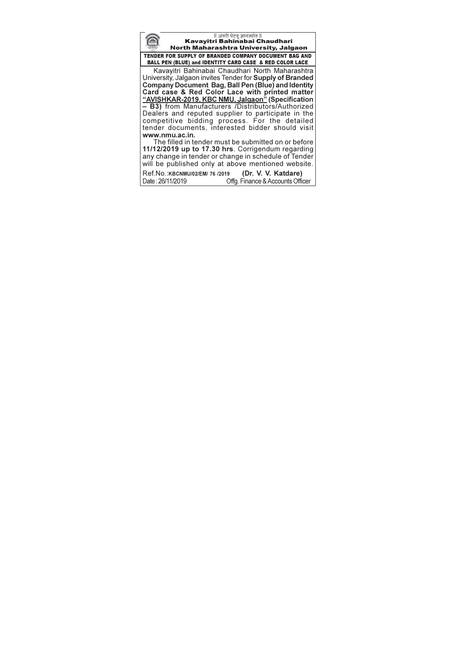l अंतरी पेटवू ज्ञानज्योत ll<br>Kavayitri Bahinabai Chaudhari North Maharashtra University, Jalgaon TENDER FOR SUPPLY OF BRANDED COMPANY DOCUMENT BAG AND BALL PEN (BLUE) and IDENTITY CARD CASE & RED COLOR LACE Kavayitri Bahinabai Chaudhari North Maharashtra University, Jalgaon invites Tender for Supply of Branded Company Document Bag, Ball Pen (Blue) and Identity Company Document Bay, Bail Peri (Bide) and dentity<br>Card case & Red Color Lace with printed matter<br>"AVISHKAR-2019, KBC NMU, Jalgaon" (Specification<br>- B3) from Manufacturers /Distributors/Authorized Dealers and reputed supplier to participate in the<br>competitive bidding process. For the detailed<br>tender documents, interested bidder should visit www.nmu.ac.in. The filled in tender must be submitted on or before 11/12/2019 up to 17.30 hrs. Corrigendum regarding any change in tender or change in schedule of Tender will be published only at above mentioned website. (Dr. V. V. Katdare) Ref.No.: KBCNMU/02/EM/ 76 /2019

Offg. Finance & Accounts Officer

Date: 26/11/2019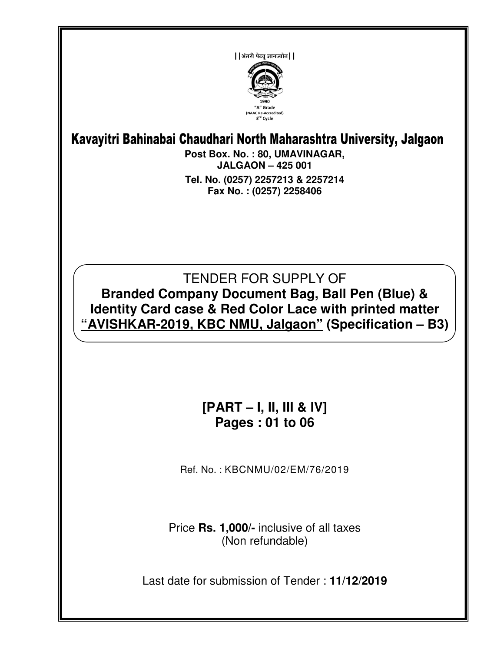

# Kavayitri Bahinabai Chaudhari North Maharashtra University, Jalgaon

**Post Box. No. : 80, UMAVINAGAR, JALGAON – 425 001 Tel. No. (0257) 2257213 & 2257214 Fax No. : (0257) 2258406** 

# TENDER FOR SUPPLY OF **Branded Company Document Bag, Ball Pen (Blue) & Identity Card case & Red Color Lace with printed matter "AVISHKAR-2019, KBC NMU, Jalgaon" (Specification – B3)**

# **[PART – I, II, III & IV] Pages : 01 to 06**

Ref. No. : KBCNMU/02/EM/76/2019

Price **Rs. 1,000/-** inclusive of all taxes (Non refundable)

Last date for submission of Tender : **11/12/2019**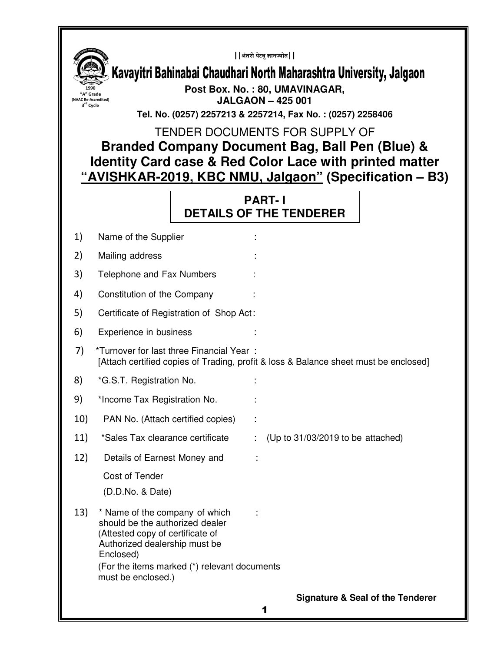

**Signature & Seal of the Tenderer**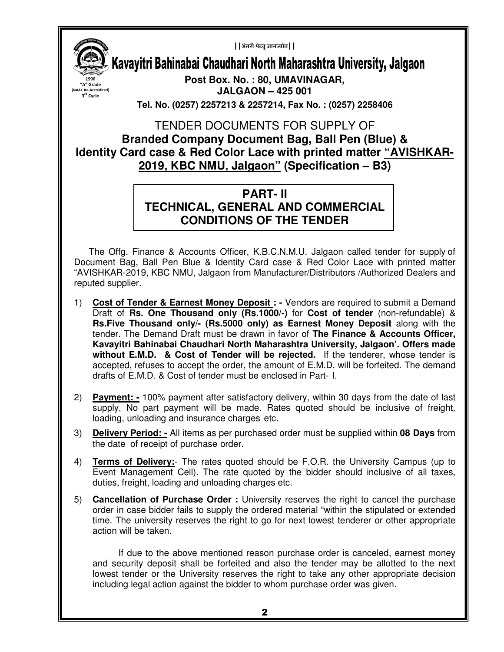**1990 "A" Grade (NAAC Re-Accredited) 3 rd Cycle** 

 $|$  | अंतरी पेटवू ज्ञानज्योत | |

Kavayitri Bahinabai Chaudhari North Maharashtra University, Jalgaon

**Post Box. No. : 80, UMAVINAGAR, JALGAON – 425 001** 

**Tel. No. (0257) 2257213 & 2257214, Fax No. : (0257) 2258406** 

#### TENDER DOCUMENTS FOR SUPPLY OF **Branded Company Document Bag, Ball Pen (Blue) & Identity Card case & Red Color Lace with printed matter "AVISHKAR-2019, KBC NMU, Jalgaon" (Specification – B3)**

#### **PART- II TECHNICAL, GENERAL AND COMMERCIAL CONDITIONS OF THE TENDER**

The Offg. Finance & Accounts Officer, K.B.C.N.M.U. Jalgaon called tender for supply of Document Bag, Ball Pen Blue & Identity Card case & Red Color Lace with printed matter "AVISHKAR-2019, KBC NMU, Jalgaon from Manufacturer/Distributors /Authorized Dealers and reputed supplier.

- 1) **Cost of Tender & Earnest Money Deposit :** Vendors are required to submit a Demand Draft of **Rs. One Thousand only (Rs.1000/-)** for **Cost of tender** (non-refundable) & **Rs.Five Thousand only/- (Rs.5000 only) as Earnest Money Deposit** along with the tender. The Demand Draft must be drawn in favor of **The Finance & Accounts Officer, Kavayitri Bahinabai Chaudhari North Maharashtra University, Jalgaon'. Offers made without E.M.D. & Cost of Tender will be rejected.** If the tenderer, whose tender is accepted, refuses to accept the order, the amount of E.M.D. will be forfeited. The demand drafts of E.M.D. & Cost of tender must be enclosed in Part- I.
- 2) **Payment: -** 100% payment after satisfactory delivery, within 30 days from the date of last supply, No part payment will be made. Rates quoted should be inclusive of freight, loading, unloading and insurance charges etc.
- 3) **Delivery Period: -** All items as per purchased order must be supplied within **08 Days** from the date of receipt of purchase order.
- 4) **Terms of Delivery:** The rates quoted should be F.O.R. the University Campus (up to Event Management Cell). The rate quoted by the bidder should inclusive of all taxes, duties, freight, loading and unloading charges etc.
- 5) **Cancellation of Purchase Order :** University reserves the right to cancel the purchase order in case bidder fails to supply the ordered material "within the stipulated or extended time. The university reserves the right to go for next lowest tenderer or other appropriate action will be taken.

If due to the above mentioned reason purchase order is canceled, earnest money and security deposit shall be forfeited and also the tender may be allotted to the next lowest tender or the University reserves the right to take any other appropriate decision including legal action against the bidder to whom purchase order was given.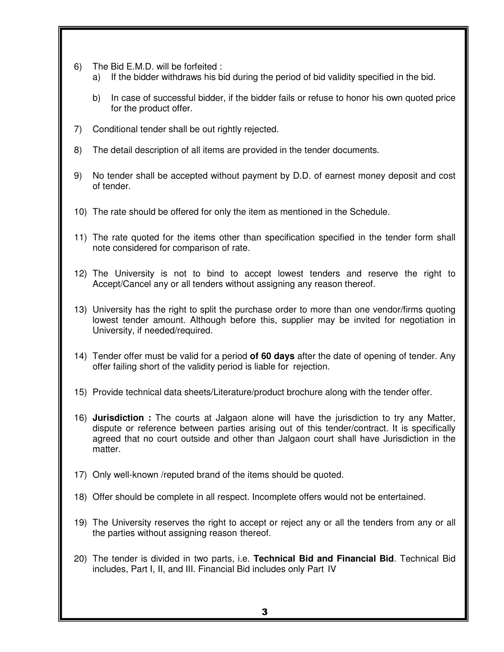- 6) The Bid E.M.D. will be forfeited :
	- a) If the bidder withdraws his bid during the period of bid validity specified in the bid.
	- b) In case of successful bidder, if the bidder fails or refuse to honor his own quoted price for the product offer.
- 7) Conditional tender shall be out rightly rejected.
- 8) The detail description of all items are provided in the tender documents.
- 9) No tender shall be accepted without payment by D.D. of earnest money deposit and cost of tender.
- 10) The rate should be offered for only the item as mentioned in the Schedule.
- 11) The rate quoted for the items other than specification specified in the tender form shall note considered for comparison of rate.
- 12) The University is not to bind to accept lowest tenders and reserve the right to Accept/Cancel any or all tenders without assigning any reason thereof.
- 13) University has the right to split the purchase order to more than one vendor/firms quoting lowest tender amount. Although before this, supplier may be invited for negotiation in University, if needed/required.
- 14) Tender offer must be valid for a period **of 60 days** after the date of opening of tender. Any offer failing short of the validity period is liable for rejection.
- 15) Provide technical data sheets/Literature/product brochure along with the tender offer.
- 16) **Jurisdiction :** The courts at Jalgaon alone will have the jurisdiction to try any Matter, dispute or reference between parties arising out of this tender/contract. It is specifically agreed that no court outside and other than Jalgaon court shall have Jurisdiction in the matter.
- 17) Only well-known /reputed brand of the items should be quoted.
- 18) Offer should be complete in all respect. Incomplete offers would not be entertained.
- 19) The University reserves the right to accept or reject any or all the tenders from any or all the parties without assigning reason thereof.
- 20) The tender is divided in two parts, i.e. **Technical Bid and Financial Bid**. Technical Bid includes, Part I, II, and III. Financial Bid includes only Part IV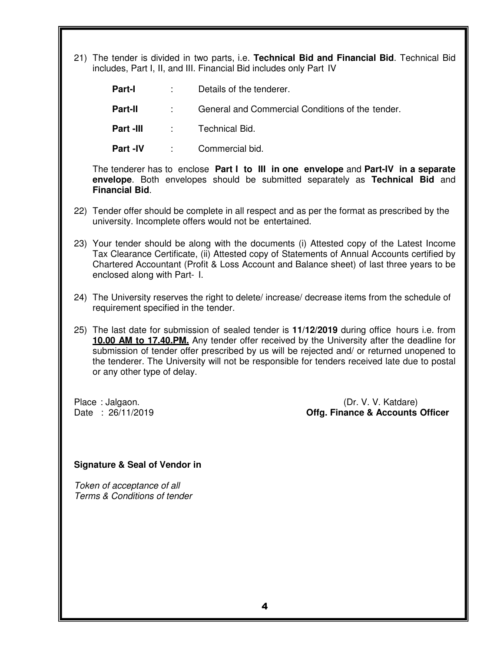21) The tender is divided in two parts, i.e. **Technical Bid and Financial Bid**. Technical Bid includes, Part I, II, and III. Financial Bid includes only Part IV

**Part-I** : Details of the tenderer. **Part-II** : General and Commercial Conditions of the tender. **Part -III · · · · · Technical Bid.** 

**Part -IV : Commercial bid.** 

The tenderer has to enclose **Part I to III in one envelope** and **Part-IV in a separate envelope**. Both envelopes should be submitted separately as **Technical Bid** and **Financial Bid**.

- 22) Tender offer should be complete in all respect and as per the format as prescribed by the university. Incomplete offers would not be entertained.
- 23) Your tender should be along with the documents (i) Attested copy of the Latest Income Tax Clearance Certificate, (ii) Attested copy of Statements of Annual Accounts certified by Chartered Accountant (Profit & Loss Account and Balance sheet) of last three years to be enclosed along with Part- I.
- 24) The University reserves the right to delete/ increase/ decrease items from the schedule of requirement specified in the tender.
- 25) The last date for submission of sealed tender is **11/12/2019** during office hours i.e. from **10.00 AM to 17.40.PM.** Any tender offer received by the University after the deadline for submission of tender offer prescribed by us will be rejected and/ or returned unopened to the tenderer. The University will not be responsible for tenders received late due to postal or any other type of delay.

Place : Jalgaon. (Dr. V. V. Katdare)<br>Date : 26/11/2019 **Date : Accounts (Dr. V. V. Katdare**) **Offg. Finance & Accounts Officer** 

#### **Signature & Seal of Vendor in**

Token of acceptance of all Terms & Conditions of tender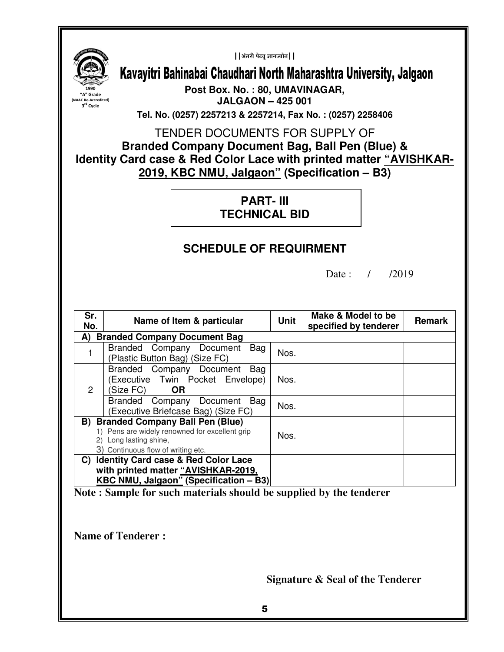$|$  | अंतरी पेटवू ज्ञानज्योत | |



Kavayitri Bahinabai Chaudhari North Maharashtra University, Jalgaon

**Post Box. No. : 80, UMAVINAGAR, JALGAON – 425 001** 

**Tel. No. (0257) 2257213 & 2257214, Fax No. : (0257) 2258406** 

TENDER DOCUMENTS FOR SUPPLY OF **Branded Company Document Bag, Ball Pen (Blue) & Identity Card case & Red Color Lace with printed matter "AVISHKAR-**

**2019, KBC NMU, Jalgaon" (Specification – B3)** 

**PART- III TECHNICAL BID** 

### **SCHEDULE OF REQUIRMENT**

Date: / /2019

| Sr.<br>No.                                                                                                                                                     | Name of Item & particular                                                                                                       | <b>Unit</b> | Make & Model to be<br>specified by tenderer | <b>Remark</b> |  |  |  |
|----------------------------------------------------------------------------------------------------------------------------------------------------------------|---------------------------------------------------------------------------------------------------------------------------------|-------------|---------------------------------------------|---------------|--|--|--|
| <b>Branded Company Document Bag</b><br>A)                                                                                                                      |                                                                                                                                 |             |                                             |               |  |  |  |
|                                                                                                                                                                | Bag<br>Branded Company Document<br>(Plastic Button Bag) (Size FC)                                                               | Nos.        |                                             |               |  |  |  |
| $\overline{2}$                                                                                                                                                 | Branded Company Document<br>Bag<br>(Executive Twin Pocket Envelope)<br>(Size FC)<br><b>OR</b>                                   | Nos.        |                                             |               |  |  |  |
|                                                                                                                                                                | Branded Company Document<br>Bag<br>(Executive Briefcase Bag) (Size FC)                                                          | Nos.        |                                             |               |  |  |  |
| <b>Branded Company Ball Pen (Blue)</b><br>B)<br>1) Pens are widely renowned for excellent grip<br>2) Long lasting shine,<br>3) Continuous flow of writing etc. |                                                                                                                                 | Nos.        |                                             |               |  |  |  |
| C)                                                                                                                                                             | <b>Identity Card case &amp; Red Color Lace</b><br>with printed matter "AVISHKAR-2019,<br>KBC NMU, Jalgaon" (Specification - B3) |             |                                             |               |  |  |  |

**Note : Sample for such materials should be supplied by the tenderer** 

**Name of Tenderer :** 

**Signature & Seal of the Tenderer**